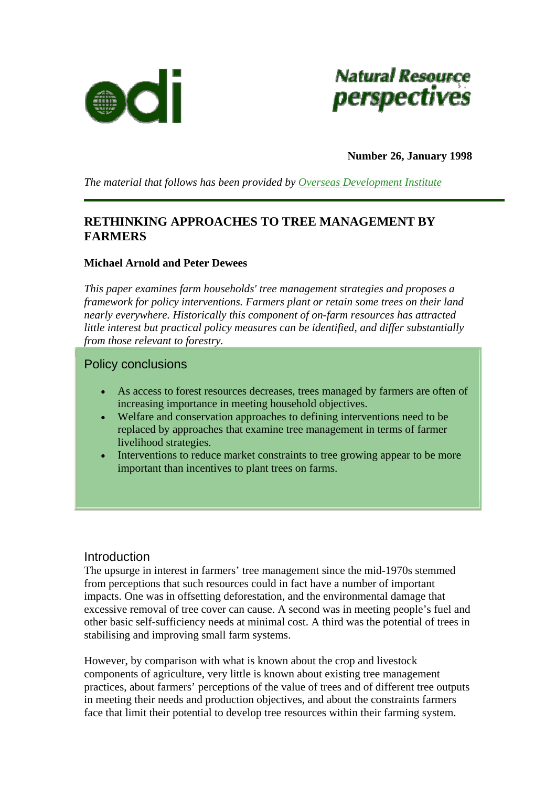



**Number 26, January 1998** 

*The material that follows has been provided by [Overseas Development Institute](http://www.odi.org.uk/index.html)*

# **RETHINKING APPROACHES TO TREE MANAGEMENT BY FARMERS**

### **Michael Arnold and Peter Dewees**

*This paper examines farm households' tree management strategies and proposes a framework for policy interventions. Farmers plant or retain some trees on their land nearly everywhere. Historically this component of on-farm resources has attracted little interest but practical policy measures can be identified, and differ substantially from those relevant to forestry.* 

## Policy conclusions

- As access to forest resources decreases, trees managed by farmers are often of increasing importance in meeting household objectives.
- Welfare and conservation approaches to defining interventions need to be replaced by approaches that examine tree management in terms of farmer livelihood strategies.
- Interventions to reduce market constraints to tree growing appear to be more important than incentives to plant trees on farms.

## Introduction

The upsurge in interest in farmers' tree management since the mid-1970s stemmed from perceptions that such resources could in fact have a number of important impacts. One was in offsetting deforestation, and the environmental damage that excessive removal of tree cover can cause. A second was in meeting people's fuel and other basic self-sufficiency needs at minimal cost. A third was the potential of trees in stabilising and improving small farm systems.

However, by comparison with what is known about the crop and livestock components of agriculture, very little is known about existing tree management practices, about farmers' perceptions of the value of trees and of different tree outputs in meeting their needs and production objectives, and about the constraints farmers face that limit their potential to develop tree resources within their farming system.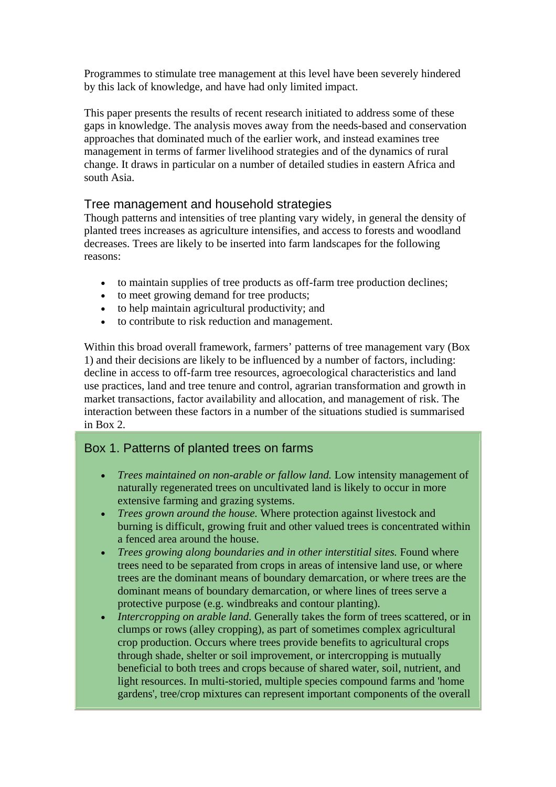Programmes to stimulate tree management at this level have been severely hindered by this lack of knowledge, and have had only limited impact.

This paper presents the results of recent research initiated to address some of these gaps in knowledge. The analysis moves away from the needs-based and conservation approaches that dominated much of the earlier work, and instead examines tree management in terms of farmer livelihood strategies and of the dynamics of rural change. It draws in particular on a number of detailed studies in eastern Africa and south Asia.

# Tree management and household strategies

Though patterns and intensities of tree planting vary widely, in general the density of planted trees increases as agriculture intensifies, and access to forests and woodland decreases. Trees are likely to be inserted into farm landscapes for the following reasons:

- to maintain supplies of tree products as off-farm tree production declines;
- to meet growing demand for tree products;
- to help maintain agricultural productivity; and
- to contribute to risk reduction and management.

Within this broad overall framework, farmers' patterns of tree management vary (Box 1) and their decisions are likely to be influenced by a number of factors, including: decline in access to off-farm tree resources, agroecological characteristics and land use practices, land and tree tenure and control, agrarian transformation and growth in market transactions, factor availability and allocation, and management of risk. The interaction between these factors in a number of the situations studied is summarised in Box 2.

# Box 1. Patterns of planted trees on farms

- *Trees maintained on non-arable or fallow land.* Low intensity management of naturally regenerated trees on uncultivated land is likely to occur in more extensive farming and grazing systems.
- *Trees grown around the house.* Where protection against livestock and burning is difficult, growing fruit and other valued trees is concentrated within a fenced area around the house.
- *Trees growing along boundaries and in other interstitial sites.* Found where trees need to be separated from crops in areas of intensive land use, or where trees are the dominant means of boundary demarcation, or where trees are the dominant means of boundary demarcation, or where lines of trees serve a protective purpose (e.g. windbreaks and contour planting).
- *Intercropping on arable land.* Generally takes the form of trees scattered, or in clumps or rows (alley cropping), as part of sometimes complex agricultural crop production. Occurs where trees provide benefits to agricultural crops through shade, shelter or soil improvement, or intercropping is mutually beneficial to both trees and crops because of shared water, soil, nutrient, and light resources. In multi-storied, multiple species compound farms and 'home gardens', tree/crop mixtures can represent important components of the overall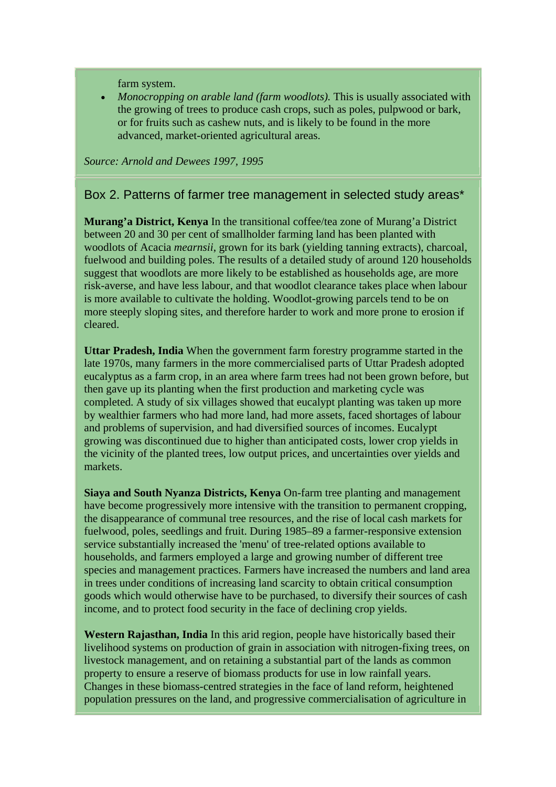farm system.

• *Monocropping on arable land (farm woodlots).* This is usually associated with the growing of trees to produce cash crops, such as poles, pulpwood or bark, or for fruits such as cashew nuts, and is likely to be found in the more advanced, market-oriented agricultural areas.

*Source: Arnold and Dewees 1997, 1995*

# Box 2. Patterns of farmer tree management in selected study areas\*

**Murang'a District, Kenya** In the transitional coffee/tea zone of Murang'a District between 20 and 30 per cent of smallholder farming land has been planted with woodlots of Acacia *mearnsii*, grown for its bark (yielding tanning extracts), charcoal, fuelwood and building poles. The results of a detailed study of around 120 households suggest that woodlots are more likely to be established as households age, are more risk-averse, and have less labour, and that woodlot clearance takes place when labour is more available to cultivate the holding. Woodlot-growing parcels tend to be on more steeply sloping sites, and therefore harder to work and more prone to erosion if cleared.

**Uttar Pradesh, India** When the government farm forestry programme started in the late 1970s, many farmers in the more commercialised parts of Uttar Pradesh adopted eucalyptus as a farm crop, in an area where farm trees had not been grown before, but then gave up its planting when the first production and marketing cycle was completed. A study of six villages showed that eucalypt planting was taken up more by wealthier farmers who had more land, had more assets, faced shortages of labour and problems of supervision, and had diversified sources of incomes. Eucalypt growing was discontinued due to higher than anticipated costs, lower crop yields in the vicinity of the planted trees, low output prices, and uncertainties over yields and markets.

**Siaya and South Nyanza Districts, Kenya** On-farm tree planting and management have become progressively more intensive with the transition to permanent cropping, the disappearance of communal tree resources, and the rise of local cash markets for fuelwood, poles, seedlings and fruit. During 1985–89 a farmer-responsive extension service substantially increased the 'menu' of tree-related options available to households, and farmers employed a large and growing number of different tree species and management practices. Farmers have increased the numbers and land area in trees under conditions of increasing land scarcity to obtain critical consumption goods which would otherwise have to be purchased, to diversify their sources of cash income, and to protect food security in the face of declining crop yields.

**Western Rajasthan, India** In this arid region, people have historically based their livelihood systems on production of grain in association with nitrogen-fixing trees, on livestock management, and on retaining a substantial part of the lands as common property to ensure a reserve of biomass products for use in low rainfall years. Changes in these biomass-centred strategies in the face of land reform, heightened population pressures on the land, and progressive commercialisation of agriculture in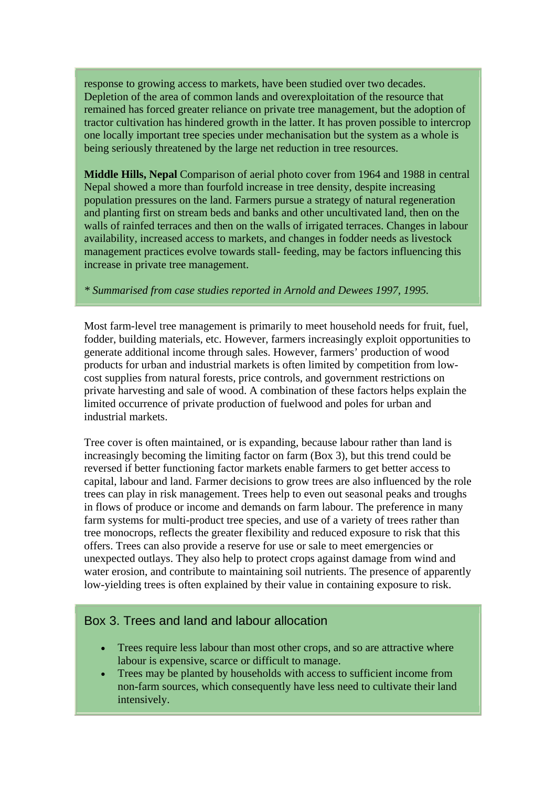response to growing access to markets, have been studied over two decades. Depletion of the area of common lands and overexploitation of the resource that remained has forced greater reliance on private tree management, but the adoption of tractor cultivation has hindered growth in the latter. It has proven possible to intercrop one locally important tree species under mechanisation but the system as a whole is being seriously threatened by the large net reduction in tree resources.

**Middle Hills, Nepal** Comparison of aerial photo cover from 1964 and 1988 in central Nepal showed a more than fourfold increase in tree density, despite increasing population pressures on the land. Farmers pursue a strategy of natural regeneration and planting first on stream beds and banks and other uncultivated land, then on the walls of rainfed terraces and then on the walls of irrigated terraces. Changes in labour availability, increased access to markets, and changes in fodder needs as livestock management practices evolve towards stall- feeding, may be factors influencing this increase in private tree management.

#### *\* Summarised from case studies reported in Arnold and Dewees 1997, 1995.*

Most farm-level tree management is primarily to meet household needs for fruit, fuel, fodder, building materials, etc. However, farmers increasingly exploit opportunities to generate additional income through sales. However, farmers' production of wood products for urban and industrial markets is often limited by competition from lowcost supplies from natural forests, price controls, and government restrictions on private harvesting and sale of wood. A combination of these factors helps explain the limited occurrence of private production of fuelwood and poles for urban and industrial markets.

Tree cover is often maintained, or is expanding, because labour rather than land is increasingly becoming the limiting factor on farm (Box 3), but this trend could be reversed if better functioning factor markets enable farmers to get better access to capital, labour and land. Farmer decisions to grow trees are also influenced by the role trees can play in risk management. Trees help to even out seasonal peaks and troughs in flows of produce or income and demands on farm labour. The preference in many farm systems for multi-product tree species, and use of a variety of trees rather than tree monocrops, reflects the greater flexibility and reduced exposure to risk that this offers. Trees can also provide a reserve for use or sale to meet emergencies or unexpected outlays. They also help to protect crops against damage from wind and water erosion, and contribute to maintaining soil nutrients. The presence of apparently low-yielding trees is often explained by their value in containing exposure to risk.

## Box 3. Trees and land and labour allocation

- Trees require less labour than most other crops, and so are attractive where labour is expensive, scarce or difficult to manage.
- Trees may be planted by households with access to sufficient income from non-farm sources, which consequently have less need to cultivate their land intensively.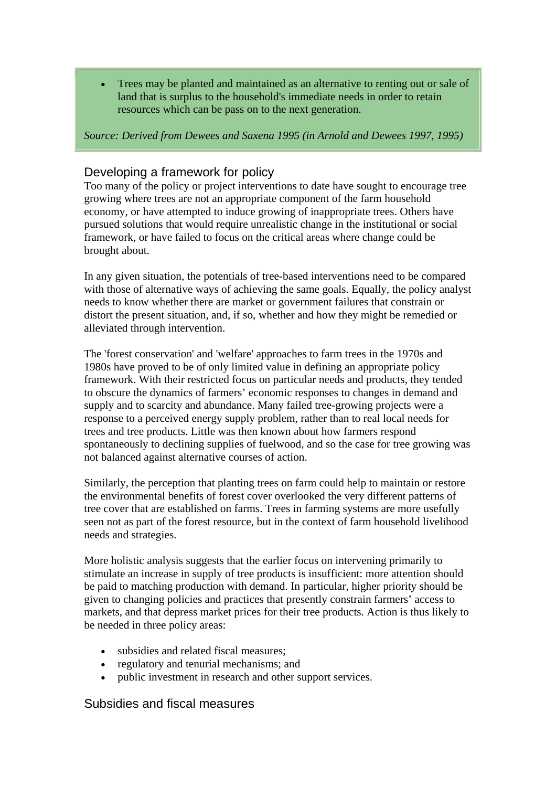• Trees may be planted and maintained as an alternative to renting out or sale of land that is surplus to the household's immediate needs in order to retain resources which can be pass on to the next generation.

*Source: Derived from Dewees and Saxena 1995 (in Arnold and Dewees 1997, 1995)* 

# Developing a framework for policy

Too many of the policy or project interventions to date have sought to encourage tree growing where trees are not an appropriate component of the farm household economy, or have attempted to induce growing of inappropriate trees. Others have pursued solutions that would require unrealistic change in the institutional or social framework, or have failed to focus on the critical areas where change could be brought about.

In any given situation, the potentials of tree-based interventions need to be compared with those of alternative ways of achieving the same goals. Equally, the policy analyst needs to know whether there are market or government failures that constrain or distort the present situation, and, if so, whether and how they might be remedied or alleviated through intervention.

The 'forest conservation' and 'welfare' approaches to farm trees in the 1970s and 1980s have proved to be of only limited value in defining an appropriate policy framework. With their restricted focus on particular needs and products, they tended to obscure the dynamics of farmers' economic responses to changes in demand and supply and to scarcity and abundance. Many failed tree-growing projects were a response to a perceived energy supply problem, rather than to real local needs for trees and tree products. Little was then known about how farmers respond spontaneously to declining supplies of fuelwood, and so the case for tree growing was not balanced against alternative courses of action.

Similarly, the perception that planting trees on farm could help to maintain or restore the environmental benefits of forest cover overlooked the very different patterns of tree cover that are established on farms. Trees in farming systems are more usefully seen not as part of the forest resource, but in the context of farm household livelihood needs and strategies.

More holistic analysis suggests that the earlier focus on intervening primarily to stimulate an increase in supply of tree products is insufficient: more attention should be paid to matching production with demand. In particular, higher priority should be given to changing policies and practices that presently constrain farmers' access to markets, and that depress market prices for their tree products. Action is thus likely to be needed in three policy areas:

- subsidies and related fiscal measures;
- regulatory and tenurial mechanisms; and
- public investment in research and other support services.

# Subsidies and fiscal measures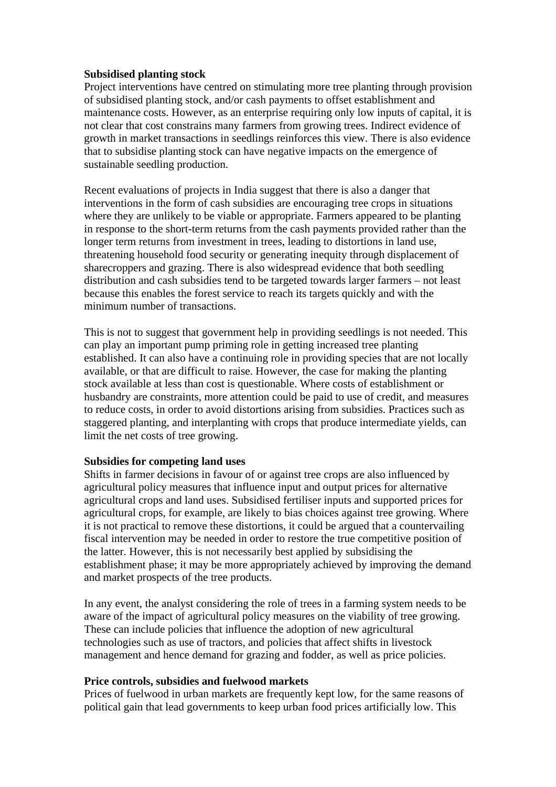#### **Subsidised planting stock**

Project interventions have centred on stimulating more tree planting through provision of subsidised planting stock, and/or cash payments to offset establishment and maintenance costs. However, as an enterprise requiring only low inputs of capital, it is not clear that cost constrains many farmers from growing trees. Indirect evidence of growth in market transactions in seedlings reinforces this view. There is also evidence that to subsidise planting stock can have negative impacts on the emergence of sustainable seedling production.

Recent evaluations of projects in India suggest that there is also a danger that interventions in the form of cash subsidies are encouraging tree crops in situations where they are unlikely to be viable or appropriate. Farmers appeared to be planting in response to the short-term returns from the cash payments provided rather than the longer term returns from investment in trees, leading to distortions in land use, threatening household food security or generating inequity through displacement of sharecroppers and grazing. There is also widespread evidence that both seedling distribution and cash subsidies tend to be targeted towards larger farmers – not least because this enables the forest service to reach its targets quickly and with the minimum number of transactions.

This is not to suggest that government help in providing seedlings is not needed. This can play an important pump priming role in getting increased tree planting established. It can also have a continuing role in providing species that are not locally available, or that are difficult to raise. However, the case for making the planting stock available at less than cost is questionable. Where costs of establishment or husbandry are constraints, more attention could be paid to use of credit, and measures to reduce costs, in order to avoid distortions arising from subsidies. Practices such as staggered planting, and interplanting with crops that produce intermediate yields, can limit the net costs of tree growing.

#### **Subsidies for competing land uses**

Shifts in farmer decisions in favour of or against tree crops are also influenced by agricultural policy measures that influence input and output prices for alternative agricultural crops and land uses. Subsidised fertiliser inputs and supported prices for agricultural crops, for example, are likely to bias choices against tree growing. Where it is not practical to remove these distortions, it could be argued that a countervailing fiscal intervention may be needed in order to restore the true competitive position of the latter. However, this is not necessarily best applied by subsidising the establishment phase; it may be more appropriately achieved by improving the demand and market prospects of the tree products.

In any event, the analyst considering the role of trees in a farming system needs to be aware of the impact of agricultural policy measures on the viability of tree growing. These can include policies that influence the adoption of new agricultural technologies such as use of tractors, and policies that affect shifts in livestock management and hence demand for grazing and fodder, as well as price policies.

#### **Price controls, subsidies and fuelwood markets**

Prices of fuelwood in urban markets are frequently kept low, for the same reasons of political gain that lead governments to keep urban food prices artificially low. This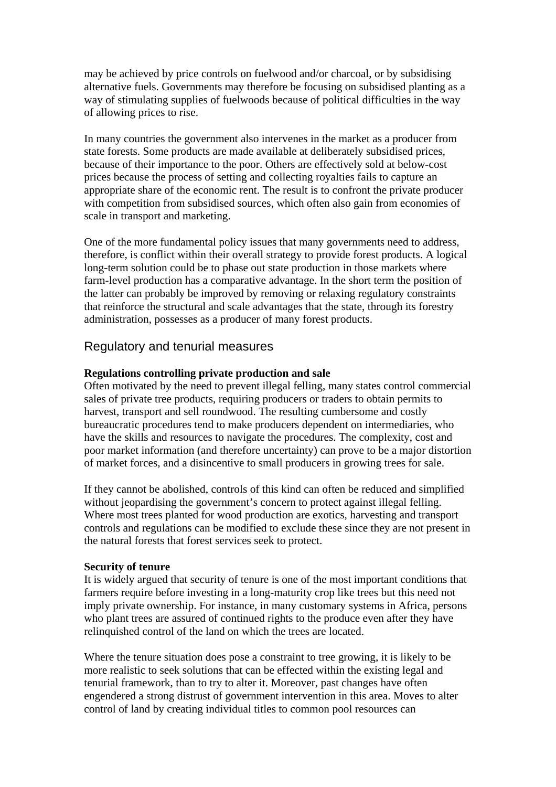may be achieved by price controls on fuelwood and/or charcoal, or by subsidising alternative fuels. Governments may therefore be focusing on subsidised planting as a way of stimulating supplies of fuelwoods because of political difficulties in the way of allowing prices to rise.

In many countries the government also intervenes in the market as a producer from state forests. Some products are made available at deliberately subsidised prices, because of their importance to the poor. Others are effectively sold at below-cost prices because the process of setting and collecting royalties fails to capture an appropriate share of the economic rent. The result is to confront the private producer with competition from subsidised sources, which often also gain from economies of scale in transport and marketing.

One of the more fundamental policy issues that many governments need to address, therefore, is conflict within their overall strategy to provide forest products. A logical long-term solution could be to phase out state production in those markets where farm-level production has a comparative advantage. In the short term the position of the latter can probably be improved by removing or relaxing regulatory constraints that reinforce the structural and scale advantages that the state, through its forestry administration, possesses as a producer of many forest products.

## Regulatory and tenurial measures

### **Regulations controlling private production and sale**

Often motivated by the need to prevent illegal felling, many states control commercial sales of private tree products, requiring producers or traders to obtain permits to harvest, transport and sell roundwood. The resulting cumbersome and costly bureaucratic procedures tend to make producers dependent on intermediaries, who have the skills and resources to navigate the procedures. The complexity, cost and poor market information (and therefore uncertainty) can prove to be a major distortion of market forces, and a disincentive to small producers in growing trees for sale.

If they cannot be abolished, controls of this kind can often be reduced and simplified without jeopardising the government's concern to protect against illegal felling. Where most trees planted for wood production are exotics, harvesting and transport controls and regulations can be modified to exclude these since they are not present in the natural forests that forest services seek to protect.

#### **Security of tenure**

It is widely argued that security of tenure is one of the most important conditions that farmers require before investing in a long-maturity crop like trees but this need not imply private ownership. For instance, in many customary systems in Africa, persons who plant trees are assured of continued rights to the produce even after they have relinquished control of the land on which the trees are located.

Where the tenure situation does pose a constraint to tree growing, it is likely to be more realistic to seek solutions that can be effected within the existing legal and tenurial framework, than to try to alter it. Moreover, past changes have often engendered a strong distrust of government intervention in this area. Moves to alter control of land by creating individual titles to common pool resources can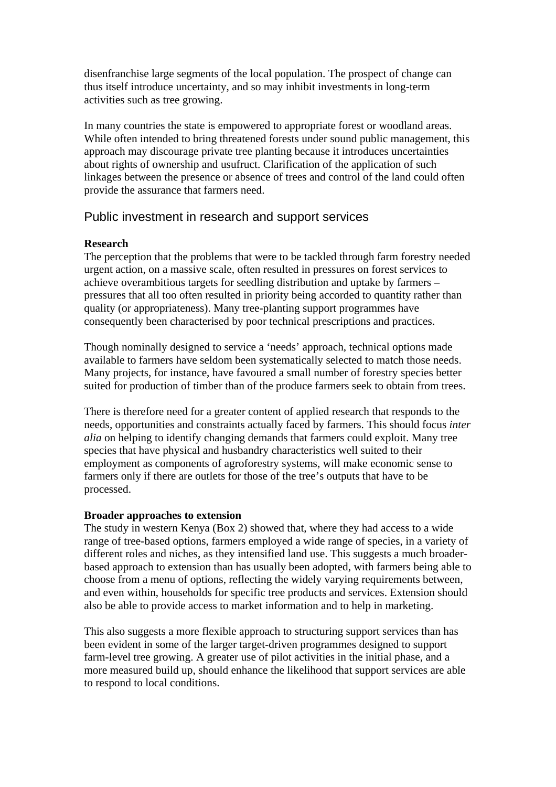disenfranchise large segments of the local population. The prospect of change can thus itself introduce uncertainty, and so may inhibit investments in long-term activities such as tree growing.

In many countries the state is empowered to appropriate forest or woodland areas. While often intended to bring threatened forests under sound public management, this approach may discourage private tree planting because it introduces uncertainties about rights of ownership and usufruct. Clarification of the application of such linkages between the presence or absence of trees and control of the land could often provide the assurance that farmers need.

# Public investment in research and support services

### **Research**

The perception that the problems that were to be tackled through farm forestry needed urgent action, on a massive scale, often resulted in pressures on forest services to achieve overambitious targets for seedling distribution and uptake by farmers – pressures that all too often resulted in priority being accorded to quantity rather than quality (or appropriateness). Many tree-planting support programmes have consequently been characterised by poor technical prescriptions and practices.

Though nominally designed to service a 'needs' approach, technical options made available to farmers have seldom been systematically selected to match those needs. Many projects, for instance, have favoured a small number of forestry species better suited for production of timber than of the produce farmers seek to obtain from trees.

There is therefore need for a greater content of applied research that responds to the needs, opportunities and constraints actually faced by farmers. This should focus *inter alia* on helping to identify changing demands that farmers could exploit. Many tree species that have physical and husbandry characteristics well suited to their employment as components of agroforestry systems, will make economic sense to farmers only if there are outlets for those of the tree's outputs that have to be processed.

#### **Broader approaches to extension**

The study in western Kenya (Box 2) showed that, where they had access to a wide range of tree-based options, farmers employed a wide range of species, in a variety of different roles and niches, as they intensified land use. This suggests a much broaderbased approach to extension than has usually been adopted, with farmers being able to choose from a menu of options, reflecting the widely varying requirements between, and even within, households for specific tree products and services. Extension should also be able to provide access to market information and to help in marketing.

This also suggests a more flexible approach to structuring support services than has been evident in some of the larger target-driven programmes designed to support farm-level tree growing. A greater use of pilot activities in the initial phase, and a more measured build up, should enhance the likelihood that support services are able to respond to local conditions.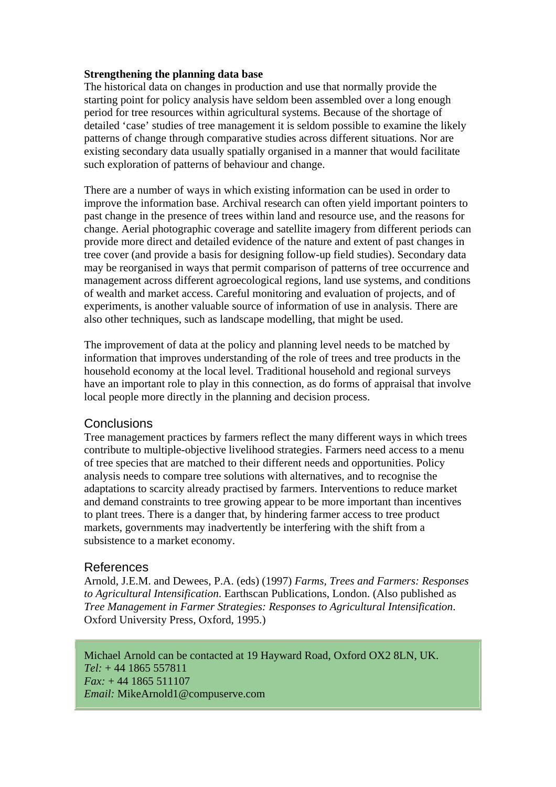#### **Strengthening the planning data base**

The historical data on changes in production and use that normally provide the starting point for policy analysis have seldom been assembled over a long enough period for tree resources within agricultural systems. Because of the shortage of detailed 'case' studies of tree management it is seldom possible to examine the likely patterns of change through comparative studies across different situations. Nor are existing secondary data usually spatially organised in a manner that would facilitate such exploration of patterns of behaviour and change.

There are a number of ways in which existing information can be used in order to improve the information base. Archival research can often yield important pointers to past change in the presence of trees within land and resource use, and the reasons for change. Aerial photographic coverage and satellite imagery from different periods can provide more direct and detailed evidence of the nature and extent of past changes in tree cover (and provide a basis for designing follow-up field studies). Secondary data may be reorganised in ways that permit comparison of patterns of tree occurrence and management across different agroecological regions, land use systems, and conditions of wealth and market access. Careful monitoring and evaluation of projects, and of experiments, is another valuable source of information of use in analysis. There are also other techniques, such as landscape modelling, that might be used.

The improvement of data at the policy and planning level needs to be matched by information that improves understanding of the role of trees and tree products in the household economy at the local level. Traditional household and regional surveys have an important role to play in this connection, as do forms of appraisal that involve local people more directly in the planning and decision process.

#### **Conclusions**

Tree management practices by farmers reflect the many different ways in which trees contribute to multiple-objective livelihood strategies. Farmers need access to a menu of tree species that are matched to their different needs and opportunities. Policy analysis needs to compare tree solutions with alternatives, and to recognise the adaptations to scarcity already practised by farmers. Interventions to reduce market and demand constraints to tree growing appear to be more important than incentives to plant trees. There is a danger that, by hindering farmer access to tree product markets, governments may inadvertently be interfering with the shift from a subsistence to a market economy.

#### References

Arnold, J.E.M. and Dewees, P.A. (eds) (1997) *Farms, Trees and Farmers: Responses to Agricultural Intensification*. Earthscan Publications, London. (Also published as *Tree Management in Farmer Strategies: Responses to Agricultural Intensification*. Oxford University Press, Oxford, 1995.)

Michael Arnold can be contacted at 19 Hayward Road, Oxford OX2 8LN, UK. *Tel:* + 44 1865 557811 *Fax:* + 44 1865 511107 *Email:* MikeArnold1@compuserve.com